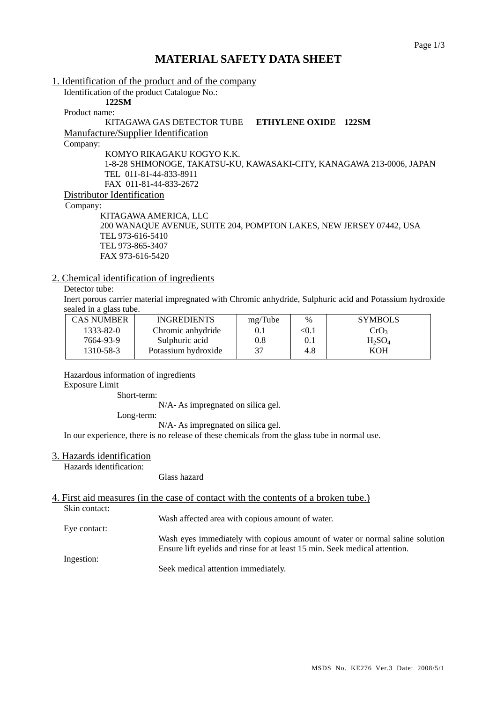## **MATERIAL SAFETY DATA SHEET**

1. Identification of the product and of the company Identification of the product Catalogue No.: **122SM**  Product name: KITAGAWA GAS DETECTOR TUBE **ETHYLENE OXIDE 122SM** Manufacture/Supplier Identification Company: KOMYO RIKAGAKU KOGYO K.K. 1-8-28 SHIMONOGE, TAKATSU-KU, KAWASAKI-CITY, KANAGAWA 213-0006, JAPAN TEL 011-81-44-833-8911 FAX 011-81-44-833-2672 Distributor Identification Company: KITAGAWA AMERICA, LLC

 200 WANAQUE AVENUE, SUITE 204, POMPTON LAKES, NEW JERSEY 07442, USA TEL 973-616-5410 TEL 973-865-3407 FAX 973-616-5420

### 2. Chemical identification of ingredients

## Detector tube:

Inert porous carrier material impregnated with Chromic anhydride, Sulphuric acid and Potassium hydroxide sealed in a glass tube.

| CAS NUMBER | <b>INGREDIENTS</b>  | mg/Tube | $\%$       | <b>SYMBOLS</b>   |
|------------|---------------------|---------|------------|------------------|
| 1333-82-0  | Chromic anhydride   | 0.1     | $<\!\!0.1$ | CrO <sub>3</sub> |
| 7664-93-9  | Sulphuric acid      | 0.8     | 0.1        | $H_2SO_4$        |
| 1310-58-3  | Potassium hydroxide | 37      | 4.8        | KOH              |

Hazardous information of ingredients

Exposure Limit

Short-term:

N/A- As impregnated on silica gel.

Long-term:

N/A- As impregnated on silica gel.

In our experience, there is no release of these chemicals from the glass tube in normal use.

#### 3. Hazards identification

Hazards identification:

Glass hazard

### 4. First aid measures (in the case of contact with the contents of a broken tube.)

Skin contact:

Eye contact:

Wash affected area with copious amount of water.

Wash eyes immediately with copious amount of water or normal saline solution Ensure lift eyelids and rinse for at least 15 min. Seek medical attention.

Ingestion:

Seek medical attention immediately.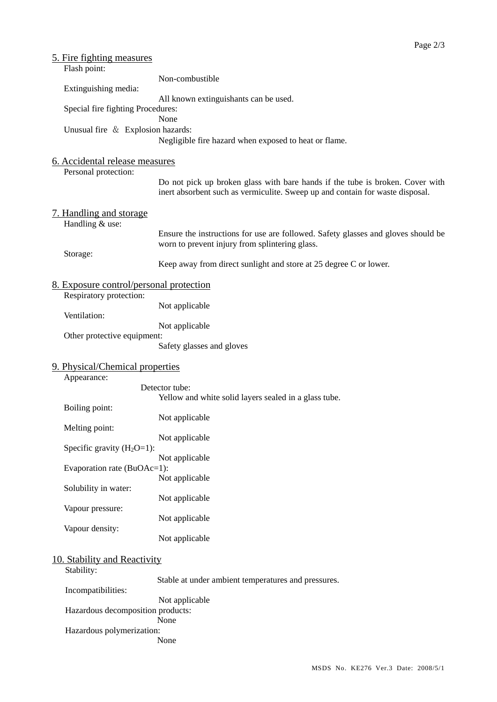| <u>5. Fire fighting measures</u><br>Flash point:                   |                                                                                                                                                                |
|--------------------------------------------------------------------|----------------------------------------------------------------------------------------------------------------------------------------------------------------|
|                                                                    | Non-combustible                                                                                                                                                |
| Extinguishing media:                                               |                                                                                                                                                                |
| Special fire fighting Procedures:                                  | All known extinguishants can be used.                                                                                                                          |
|                                                                    | None                                                                                                                                                           |
| Unusual fire & Explosion hazards:                                  | Negligible fire hazard when exposed to heat or flame.                                                                                                          |
| 6. Accidental release measures                                     |                                                                                                                                                                |
| Personal protection:                                               |                                                                                                                                                                |
|                                                                    | Do not pick up broken glass with bare hands if the tube is broken. Cover with<br>inert absorbent such as vermiculite. Sweep up and contain for waste disposal. |
| 7. Handling and storage<br>Handling & use:                         |                                                                                                                                                                |
|                                                                    | Ensure the instructions for use are followed. Safety glasses and gloves should be<br>worn to prevent injury from splintering glass.                            |
| Storage:                                                           | Keep away from direct sunlight and store at 25 degree C or lower.                                                                                              |
| 8. Exposure control/personal protection<br>Respiratory protection: |                                                                                                                                                                |
| Ventilation:                                                       | Not applicable                                                                                                                                                 |
|                                                                    | Not applicable                                                                                                                                                 |
| Other protective equipment:                                        | Safety glasses and gloves                                                                                                                                      |
| 9. Physical/Chemical properties<br>Appearance:                     |                                                                                                                                                                |
|                                                                    | Detector tube:                                                                                                                                                 |
| Boiling point:                                                     | Yellow and white solid layers sealed in a glass tube.                                                                                                          |
|                                                                    | Not applicable                                                                                                                                                 |
| Melting point:                                                     | Not applicable                                                                                                                                                 |
| Specific gravity $(H_2O=1)$ :                                      |                                                                                                                                                                |
| Evaporation rate (BuOAc=1):                                        | Not applicable                                                                                                                                                 |
|                                                                    | Not applicable                                                                                                                                                 |
| Solubility in water:                                               | Not applicable                                                                                                                                                 |
| Vapour pressure:                                                   | Not applicable                                                                                                                                                 |
| Vapour density:                                                    |                                                                                                                                                                |
|                                                                    | Not applicable                                                                                                                                                 |
| 10. Stability and Reactivity                                       |                                                                                                                                                                |
| Stability:                                                         | Stable at under ambient temperatures and pressures.                                                                                                            |
| Incompatibilities:                                                 |                                                                                                                                                                |
| Hazardous decomposition products:                                  | Not applicable                                                                                                                                                 |
|                                                                    | None                                                                                                                                                           |

Hazardous polymerization:

None